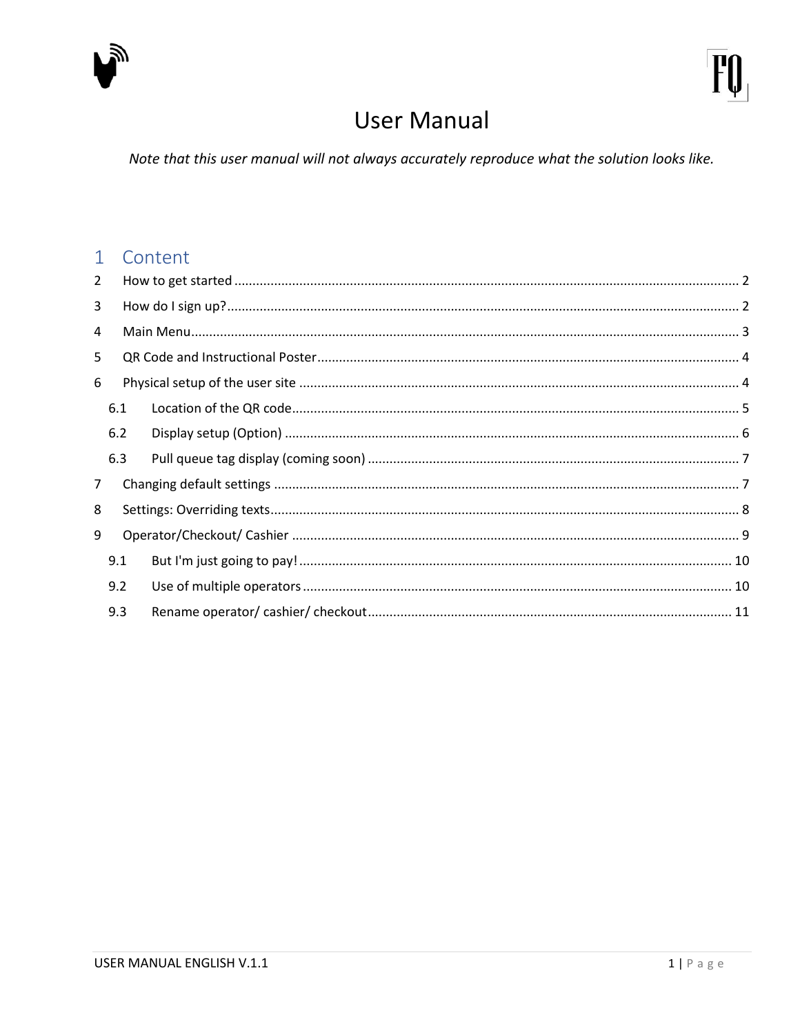

# **User Manual**

Note that this user manual will not always accurately reproduce what the solution looks like.

#### 1 Content

| $\overline{2}$ |     |  |  |  |
|----------------|-----|--|--|--|
| 3              |     |  |  |  |
| 4              |     |  |  |  |
| 5              |     |  |  |  |
| 6              |     |  |  |  |
|                | 6.1 |  |  |  |
|                | 6.2 |  |  |  |
|                | 6.3 |  |  |  |
| $\overline{7}$ |     |  |  |  |
| 8              |     |  |  |  |
| 9              |     |  |  |  |
|                | 9.1 |  |  |  |
|                | 9.2 |  |  |  |
|                | 9.3 |  |  |  |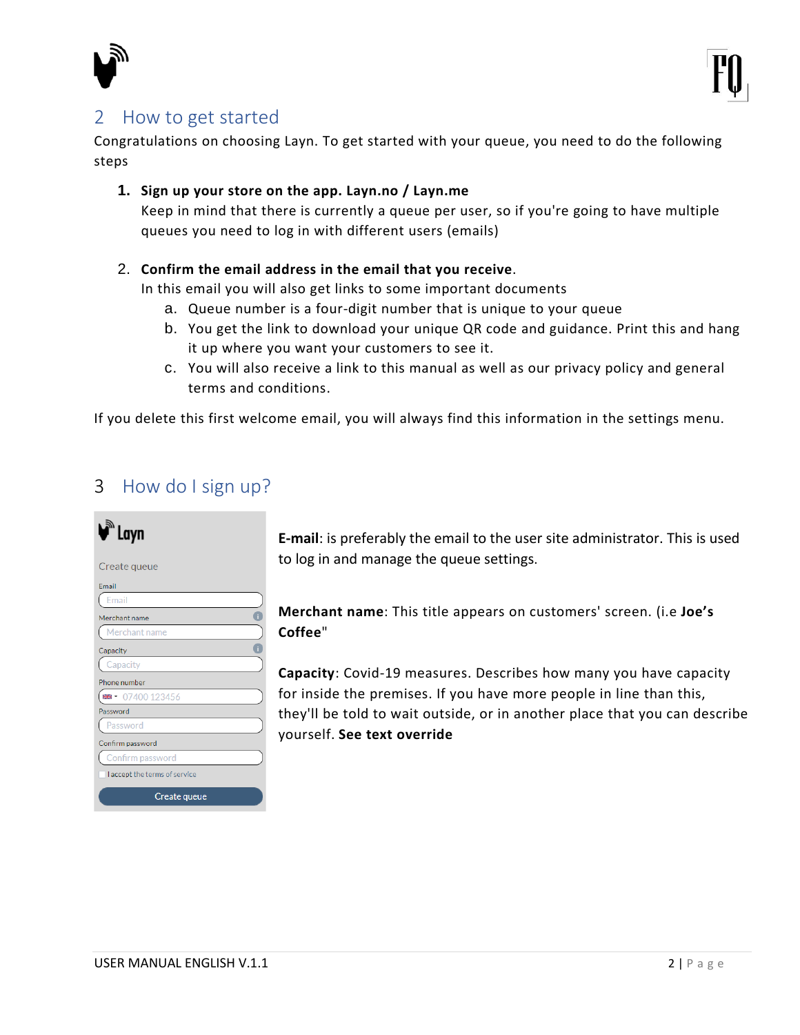

## <span id="page-1-0"></span>2 How to get started

Congratulations on choosing Layn. To get started with your queue, you need to do the following steps

#### **1. Sign up your store on the app. Layn.no / Layn.me**

Keep in mind that there is currently a queue per user, so if you're going to have multiple queues you need to log in with different users (emails)

#### 2. **Confirm the email address in the email that you receive**.

In this email you will also get links to some important documents

- a. Queue number is a four-digit number that is unique to your queue
- b. You get the link to download your unique QR code and guidance. Print this and hang it up where you want your customers to see it.
- c. You will also receive a link to this manual as well as our privacy policy and general terms and conditions.

If you delete this first welcome email, you will always find this information in the settings menu.

### <span id="page-1-1"></span>3 How do I sign up?

| N<br>`Layn                    |
|-------------------------------|
| Create queue                  |
| Email                         |
| Email                         |
| Merchant name                 |
| Merchant name                 |
| Capacity                      |
| Capacity                      |
| Phone number                  |
| ■ 107400 123456               |
| Password                      |
| assword                       |
| Confirm password              |
| Confirm password              |
| I accept the terms of service |
| Create queue                  |

**E-mail**: is preferably the email to the user site administrator. This is used to log in and manage the queue settings.

**Merchant name**: This title appears on customers' screen. (i.e **Joe's Coffee**"

**Capacity**: Covid-19 measures. Describes how many you have capacity for inside the premises. If you have more people in line than this, they'll be told to wait outside, or in another place that you can describe yourself. **See text override**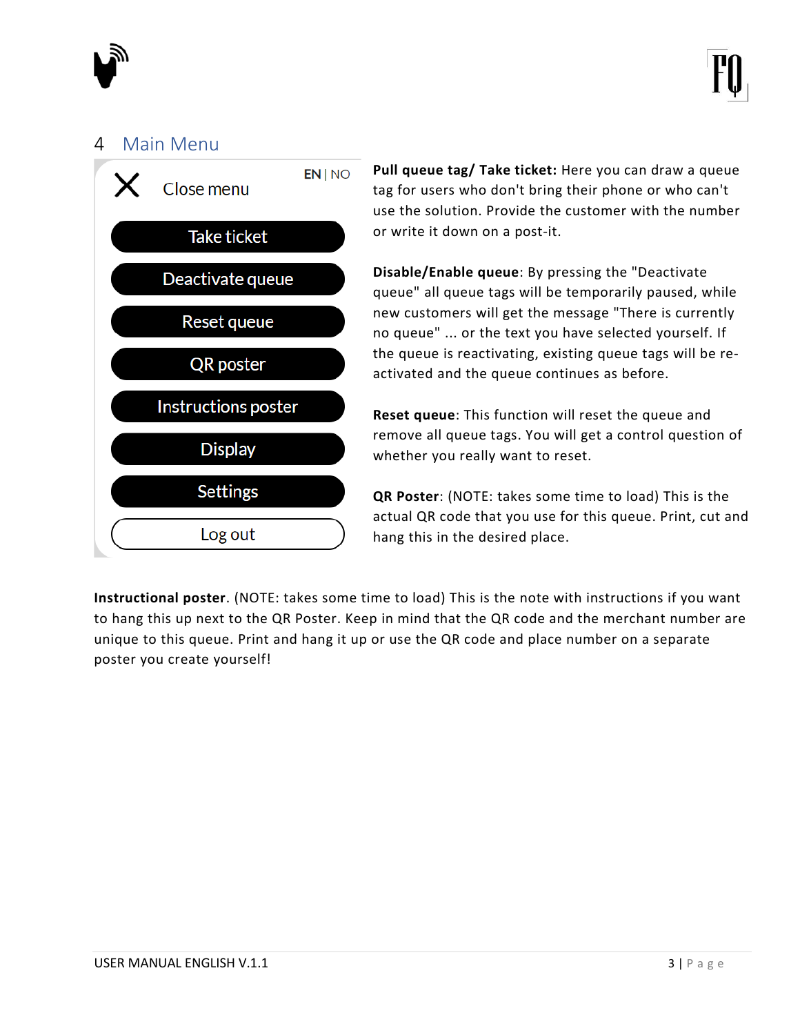

#### <span id="page-2-0"></span>4 Main Menu



**Pull queue tag/ Take ticket:** Here you can draw a queue tag for users who don't bring their phone or who can't use the solution. Provide the customer with the number or write it down on a post-it.

**Disable/Enable queue**: By pressing the "Deactivate queue" all queue tags will be temporarily paused, while new customers will get the message "There is currently no queue" ... or the text you have selected yourself. If the queue is reactivating, existing queue tags will be reactivated and the queue continues as before.

**Reset queue**: This function will reset the queue and remove all queue tags. You will get a control question of whether you really want to reset.

**QR Poster**: (NOTE: takes some time to load) This is the actual QR code that you use for this queue. Print, cut and hang this in the desired place.

**Instructional poster**. (NOTE: takes some time to load) This is the note with instructions if you want to hang this up next to the QR Poster. Keep in mind that the QR code and the merchant number are unique to this queue. Print and hang it up or use the QR code and place number on a separate poster you create yourself!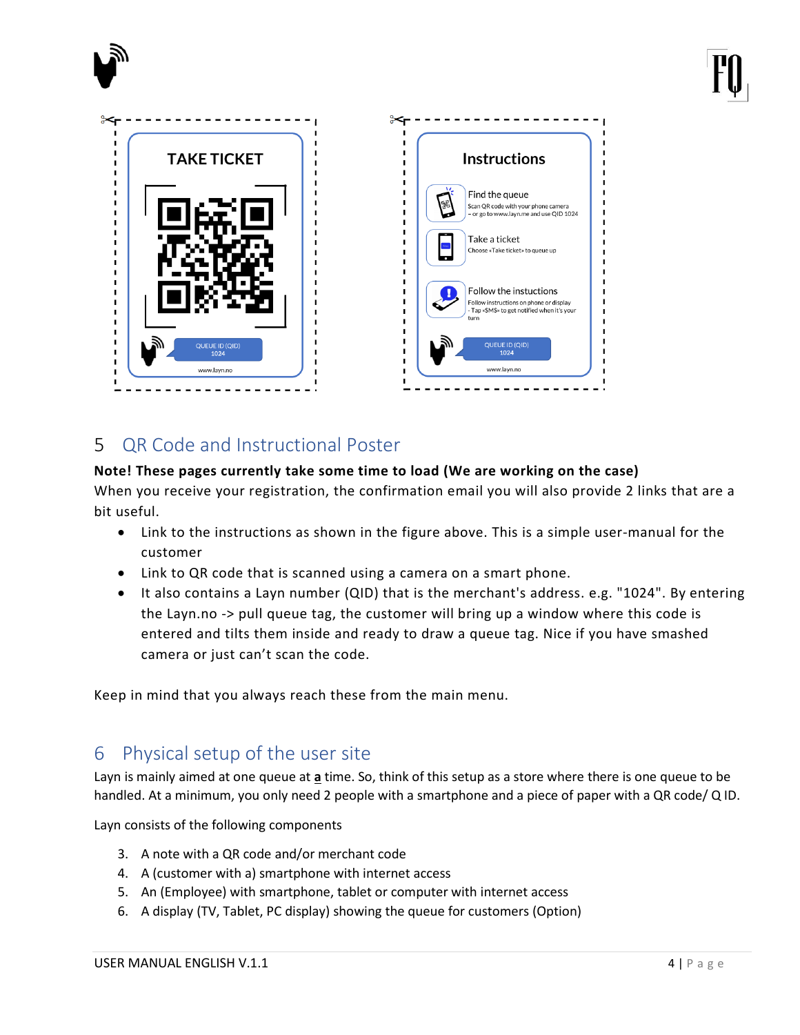



# <span id="page-3-0"></span>5 QR Code and Instructional Poster

#### **Note! These pages currently take some time to load (We are working on the case)**

When you receive your registration, the confirmation email you will also provide 2 links that are a bit useful.

- Link to the instructions as shown in the figure above. This is a simple user-manual for the customer
- Link to QR code that is scanned using a camera on a smart phone.
- It also contains a Layn number (QID) that is the merchant's address. e.g. "1024". By entering the Layn.no -> pull queue tag, the customer will bring up a window where this code is entered and tilts them inside and ready to draw a queue tag. Nice if you have smashed camera or just can't scan the code.

Keep in mind that you always reach these from the main menu.

# <span id="page-3-1"></span>6 Physical setup of the user site

Layn is mainly aimed at one queue at **a** time. So, think of this setup as a store where there is one queue to be handled. At a minimum, you only need 2 people with a smartphone and a piece of paper with a QR code/ Q ID.

Layn consists of the following components

- 3. A note with a QR code and/or merchant code
- 4. A (customer with a) smartphone with internet access
- 5. An (Employee) with smartphone, tablet or computer with internet access
- 6. A display (TV, Tablet, PC display) showing the queue for customers (Option)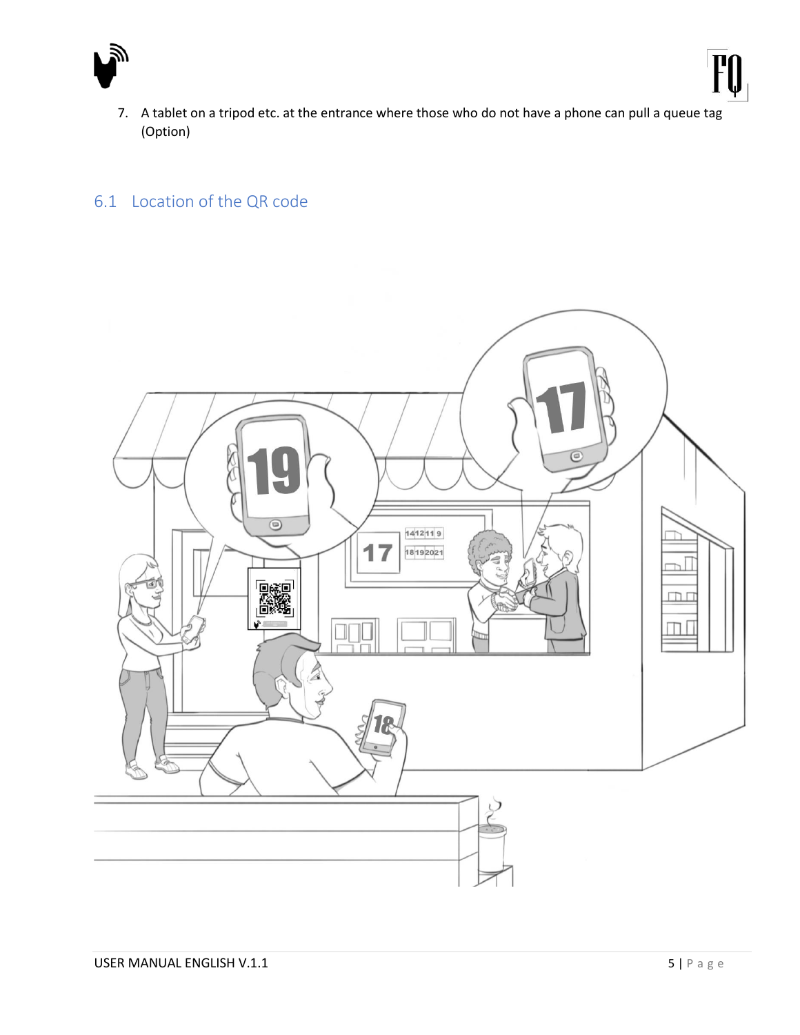

7. A tablet on a tripod etc. at the entrance where those who do not have a phone can pull a queue tag (Option)

### <span id="page-4-0"></span>6.1 Location of the QR code

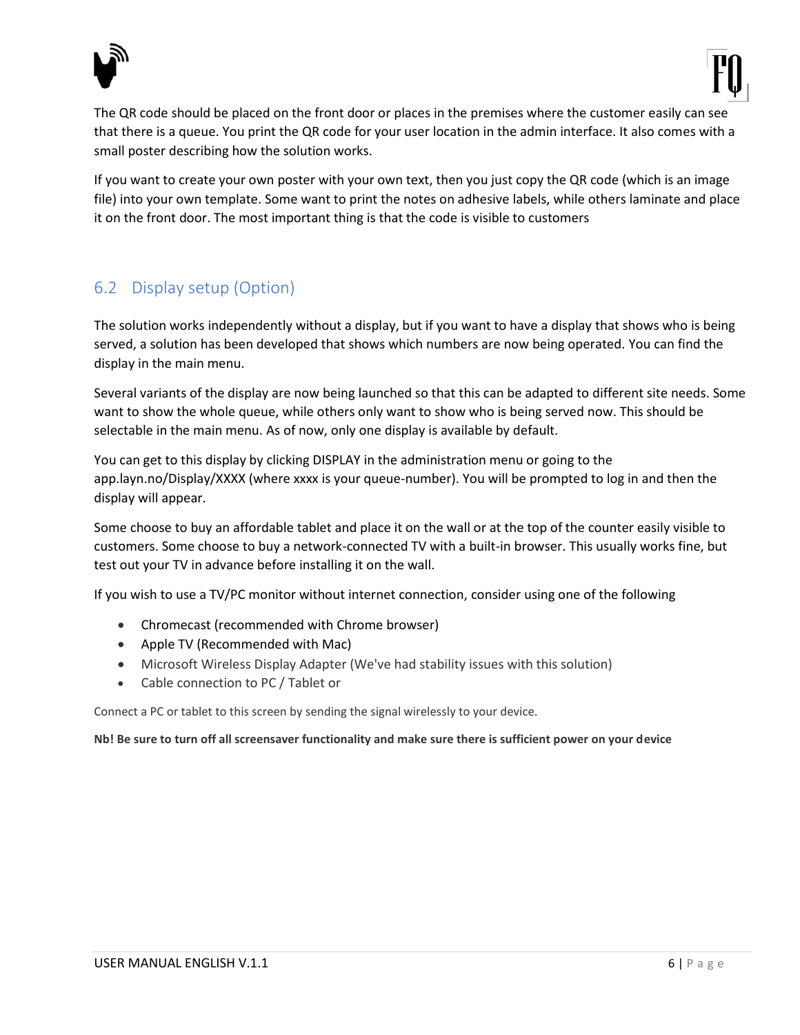



The QR code should be placed on the front door or places in the premises where the customer easily can see that there is a queue. You print the QR code for your user location in the admin interface. It also comes with a small poster describing how the solution works.

If you want to create your own poster with your own text, then you just copy the QR code (which is an image file) into your own template. Some want to print the notes on adhesive labels, while others laminate and place it on the front door. The most important thing is that the code is visible to customers

#### <span id="page-5-0"></span>6.2 Display setup (Option)

The solution works independently without a display, but if you want to have a display that shows who is being served, a solution has been developed that shows which numbers are now being operated. You can find the display in the main menu.

Several variants of the display are now being launched so that this can be adapted to different site needs. Some want to show the whole queue, while others only want to show who is being served now. This should be selectable in the main menu. As of now, only one display is available by default.

You can get to this display by clicking DISPLAY in the administration menu or going to the app.layn.no/Display/XXXX (where xxxx is your queue-number). You will be prompted to log in and then the display will appear.

Some choose to buy an affordable tablet and place it on the wall or at the top of the counter easily visible to customers. Some choose to buy a network-connected TV with a built-in browser. This usually works fine, but test out your TV in advance before installing it on the wall.

If you wish to use a TV/PC monitor without internet connection, consider using one of the following

- Chromecast (recommended with Chrome browser)
- Apple TV (Recommended with Mac)
- Microsoft Wireless Display Adapter (We've had stability issues with this solution)
- Cable connection to PC / Tablet or

Connect a PC or tablet to this screen by sending the signal wirelessly to your device.

#### **Nb! Be sure to turn off all screensaver functionality and make sure there is sufficient power on your device**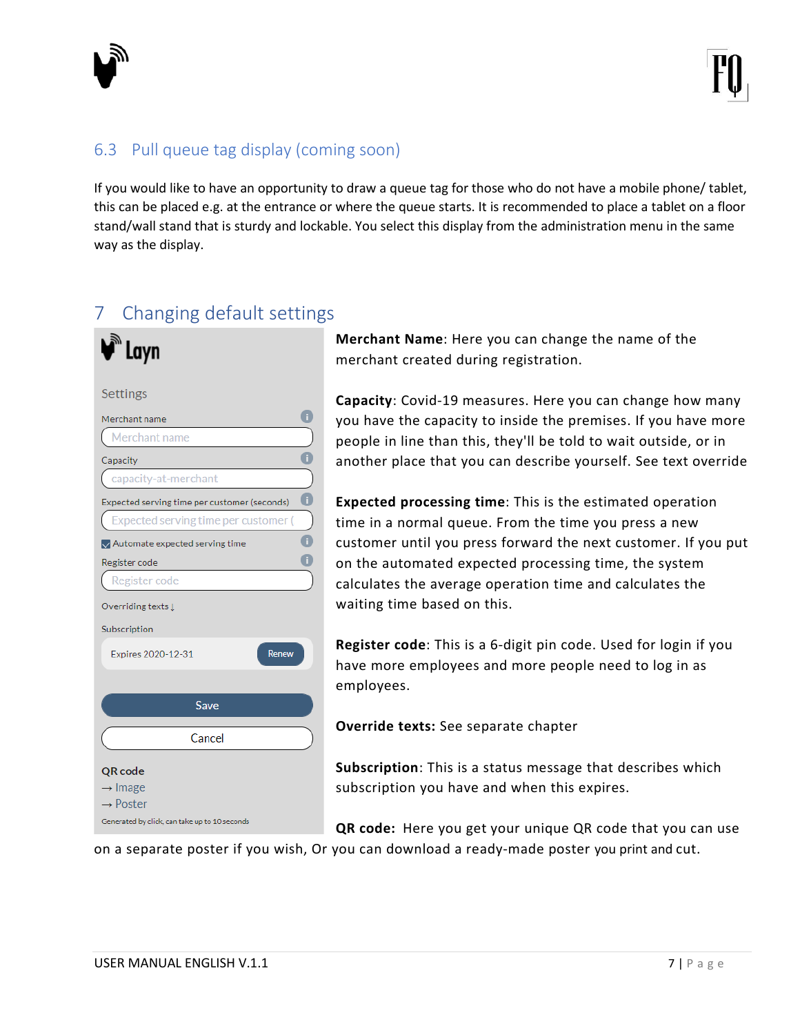

### <span id="page-6-0"></span>6.3 Pull queue tag display (coming soon)

If you would like to have an opportunity to draw a queue tag for those who do not have a mobile phone/ tablet, this can be placed e.g. at the entrance or where the queue starts. It is recommended to place a tablet on a floor stand/wall stand that is sturdy and lockable. You select this display from the administration menu in the same way as the display.

# <span id="page-6-1"></span>7 Changing default settings

| Settings                                            |    |
|-----------------------------------------------------|----|
| Merchant name                                       |    |
| Merchant name                                       |    |
| Capacity                                            |    |
| capacity-at-merchant                                |    |
| Expected serving time per customer (seconds)        | G. |
| Expected serving time per customer (                |    |
| $\sqrt{\phantom{a}}$ Automate expected serving time |    |
| Register code                                       |    |
| Register code                                       |    |
| Overriding texts I                                  |    |
| Subscription                                        |    |
| Expires 2020-12-31<br><b>Renew</b>                  |    |
|                                                     |    |
| Save                                                |    |
| Cancel                                              |    |
|                                                     |    |
| QR code                                             |    |
| $\rightarrow$ Image<br>$\rightarrow$ Poster         |    |
| Generated by click, can take up to 10 seconds       |    |
|                                                     |    |

**Merchant Name**: Here you can change the name of the merchant created during registration.

**Capacity**: Covid-19 measures. Here you can change how many you have the capacity to inside the premises. If you have more people in line than this, they'll be told to wait outside, or in another place that you can describe yourself. See text override

**Expected processing time**: This is the estimated operation time in a normal queue. From the time you press a new customer until you press forward the next customer. If you put on the automated expected processing time, the system calculates the average operation time and calculates the waiting time based on this.

**Register code**: This is a 6-digit pin code. Used for login if you have more employees and more people need to log in as employees.

**Override texts:** See separate chapter

**Subscription**: This is a status message that describes which subscription you have and when this expires.

**QR code:** Here you get your unique QR code that you can use

on a separate poster if you wish, Or you can download a ready-made poster you print and cut.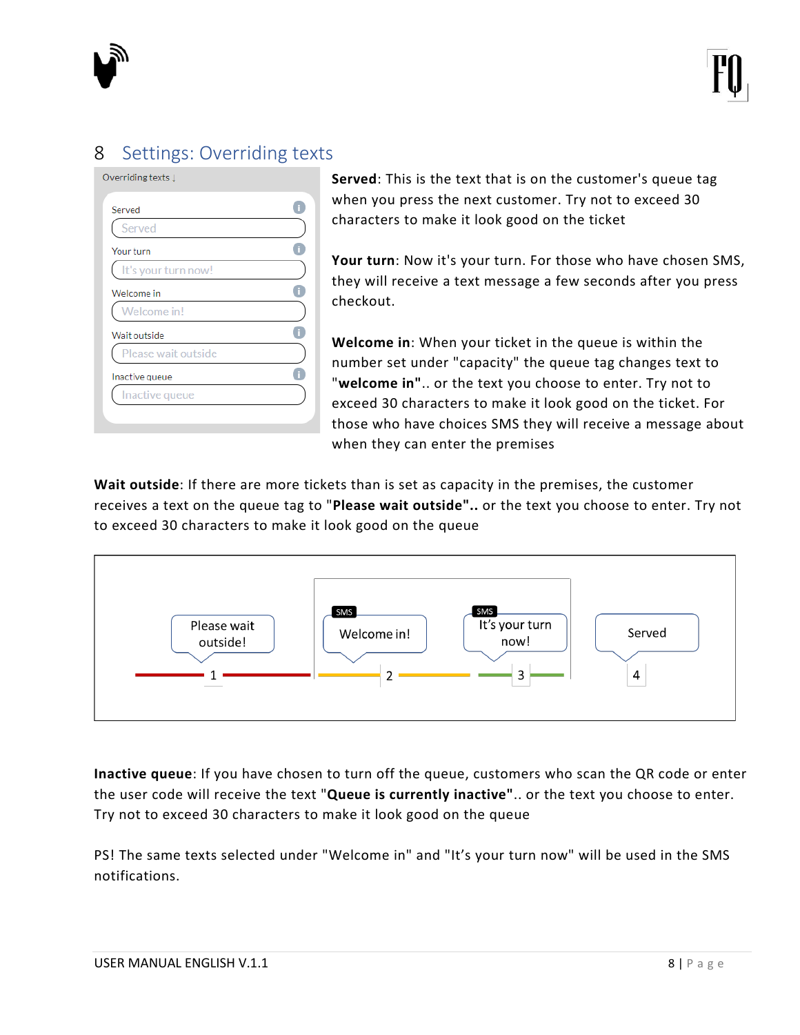

# <span id="page-7-0"></span>8 Settings: Overriding texts

| Served              |  |
|---------------------|--|
| Served              |  |
| Your turn           |  |
| It's your turn now! |  |
| Welcome in          |  |
| Welcome in!         |  |
| Wait outside        |  |
| Please wait outside |  |
| Inactive queue      |  |
| Inactive queue      |  |
|                     |  |

**Served**: This is the text that is on the customer's queue tag when you press the next customer. Try not to exceed 30 characters to make it look good on the ticket

**Your turn**: Now it's your turn. For those who have chosen SMS, they will receive a text message a few seconds after you press checkout.

**Welcome in**: When your ticket in the queue is within the number set under "capacity" the queue tag changes text to "**welcome in"**.. or the text you choose to enter. Try not to exceed 30 characters to make it look good on the ticket. For those who have choices SMS they will receive a message about when they can enter the premises

**Wait outside**: If there are more tickets than is set as capacity in the premises, the customer receives a text on the queue tag to "**Please wait outside"..** or the text you choose to enter. Try not to exceed 30 characters to make it look good on the queue



**Inactive queue**: If you have chosen to turn off the queue, customers who scan the QR code or enter the user code will receive the text "**Queue is currently inactive"**.. or the text you choose to enter. Try not to exceed 30 characters to make it look good on the queue

PS! The same texts selected under "Welcome in" and "It's your turn now" will be used in the SMS notifications.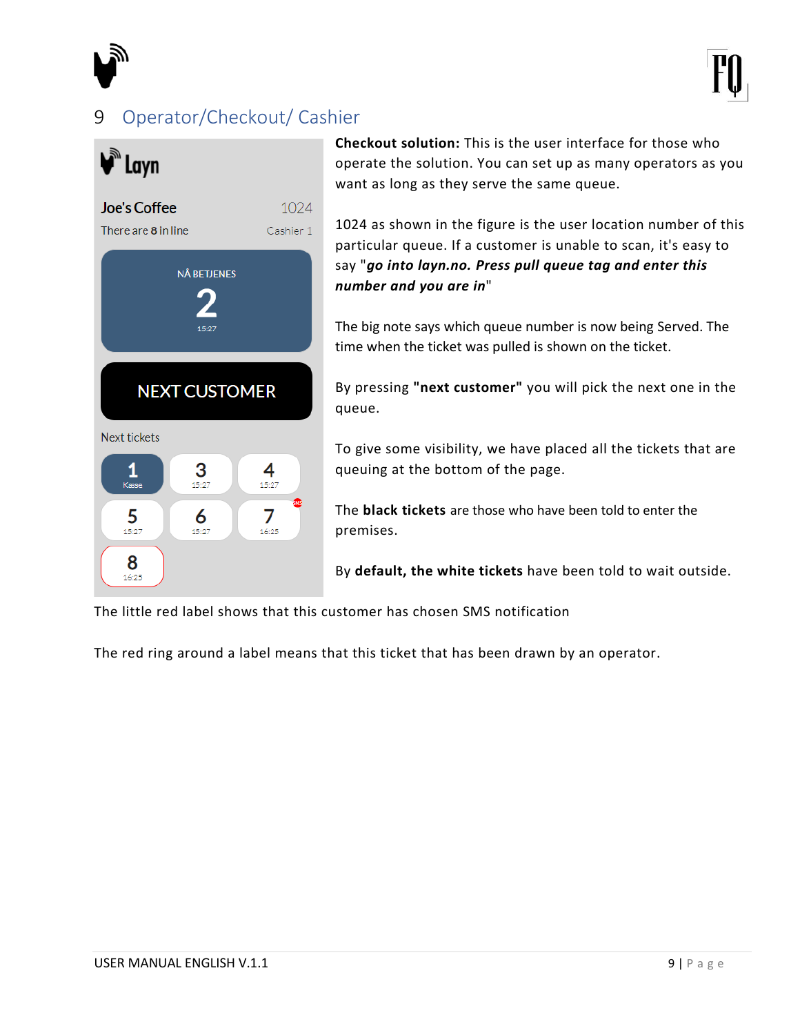

# <span id="page-8-0"></span>9 Operator/Checkout/ Cashier



**Checkout solution:** This is the user interface for those who operate the solution. You can set up as many operators as you want as long as they serve the same queue.

1024 as shown in the figure is the user location number of this particular queue. If a customer is unable to scan, it's easy to say "*go into layn.no. Press pull queue tag and enter this number and you are in*"

The big note says which queue number is now being Served. The time when the ticket was pulled is shown on the ticket.

By pressing **"next customer"** you will pick the next one in the queue.

To give some visibility, we have placed all the tickets that are queuing at the bottom of the page.

The **black tickets** are those who have been told to enter the premises.

By **default, the white tickets** have been told to wait outside.

The little red label shows that this customer has chosen SMS notification

The red ring around a label means that this ticket that has been drawn by an operator.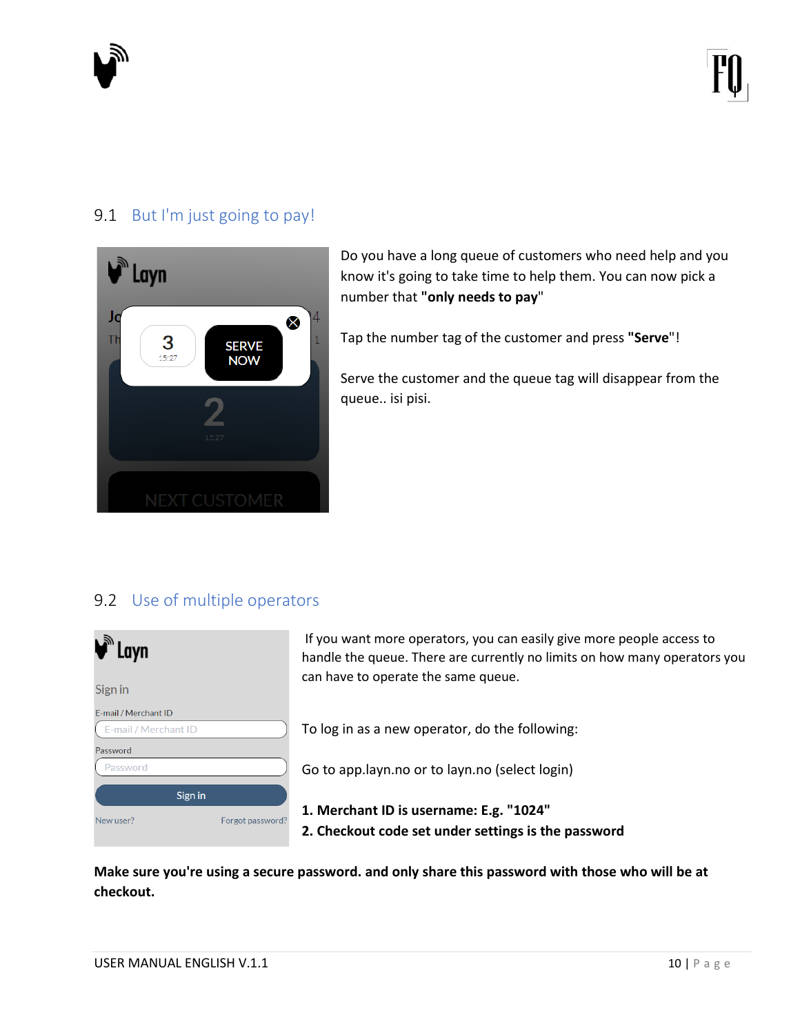

#### <span id="page-9-0"></span>9.1 But I'm just going to pay!



Do you have a long queue of customers who need help and you know it's going to take time to help them. You can now pick a number that **"only needs to pay**"

Tap the number tag of the customer and press **"Serve**"!

Serve the customer and the queue tag will disappear from the queue.. isi pisi.

#### <span id="page-9-1"></span>9.2 Use of multiple operators

| $\blacklozengeq$ Layn |                  |
|-----------------------|------------------|
| Sign in               |                  |
| E-mail / Merchant ID  |                  |
| E-mail / Merchant ID  |                  |
| Password              |                  |
| Password              |                  |
| Sign in               |                  |
| New user?             | Forgot password? |
|                       |                  |

If you want more operators, you can easily give more people access to handle the queue. There are currently no limits on how many operators you can have to operate the same queue.

To log in as a new operator, do the following:

Go to app.layn.no or to layn.no (select login)

- **1. Merchant ID is username: E.g. "1024"**
- **2. Checkout code set under settings is the password**

**Make sure you're using a secure password. and only share this password with those who will be at checkout.**